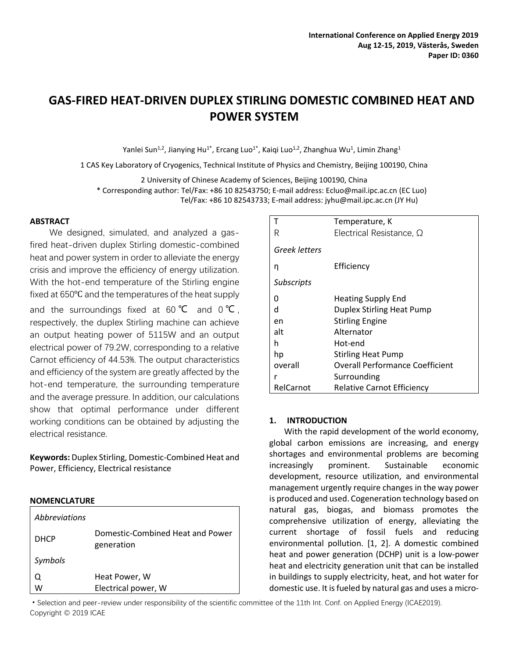# **GAS-FIRED HEAT-DRIVEN DUPLEX STIRLING DOMESTIC COMBINED HEAT AND POWER SYSTEM**

Yanlei Sun<sup>1,2</sup>, Jianying Hu<sup>1\*</sup>, Ercang Luo<sup>1\*</sup>, Kaiqi Luo<sup>1,2</sup>, Zhanghua Wu<sup>1</sup>, Limin Zhang<sup>1</sup>

1 CAS Key Laboratory of Cryogenics, Technical Institute of Physics and Chemistry, Beijing 100190, China

2 University of Chinese Academy of Sciences, Beijing 100190, China

\* Corresponding author: Tel/Fax: +86 10 82543750; E-mail address: Ecluo@mail.ipc.ac.cn (EC Luo)

Tel/Fax: +86 10 82543733; E-mail address: jyhu@mail.ipc.ac.cn (JY Hu)

# **ABSTRACT**

We designed, simulated, and analyzed a gasfired heat-driven duplex Stirling domestic-combined heat and power system in order to alleviate the energy crisis and improve the efficiency of energy utilization. With the hot-end temperature of the Stirling engine fixed at 650℃ and the temperatures of the heat supply and the surroundings fixed at 60  $°C$  and 0  $°C$ . respectively, the duplex Stirling machine can achieve an output heating power of 5115W and an output electrical power of 79.2W, corresponding to a relative Carnot efficiency of 44.53%. The output characteristics and efficiency of the system are greatly affected by the hot-end temperature, the surrounding temperature and the average pressure. In addition, our calculations show that optimal performance under different working conditions can be obtained by adjusting the electrical resistance.

**Keywords:** Duplex Stirling, Domestic-Combined Heat and Power, Efficiency, Electrical resistance

## **NOMENCLATURE**

| <b>Abbreviations</b> |                                                |
|----------------------|------------------------------------------------|
| <b>DHCP</b>          | Domestic-Combined Heat and Power<br>generation |
| Symbols              |                                                |
|                      | Heat Power, W                                  |
| W                    | Electrical power, W                            |

|                   | Temperature, K                         |  |  |  |  |
|-------------------|----------------------------------------|--|--|--|--|
| R                 | Electrical Resistance, $\Omega$        |  |  |  |  |
| Greek letters     |                                        |  |  |  |  |
| n                 | Efficiency                             |  |  |  |  |
| <b>Subscripts</b> |                                        |  |  |  |  |
| n                 | <b>Heating Supply End</b>              |  |  |  |  |
| d                 | Duplex Stirling Heat Pump              |  |  |  |  |
| en                | <b>Stirling Engine</b>                 |  |  |  |  |
| alt               | Alternator                             |  |  |  |  |
| h                 | Hot-end                                |  |  |  |  |
| hp                | <b>Stirling Heat Pump</b>              |  |  |  |  |
| overall           | <b>Overall Performance Coefficient</b> |  |  |  |  |
| r                 | Surrounding                            |  |  |  |  |
| RelCarnot         | <b>Relative Carnot Efficiency</b>      |  |  |  |  |

## **1. INTRODUCTION**

With the rapid development of the world economy, global carbon emissions are increasing, and energy shortages and environmental problems are becoming increasingly prominent. Sustainable economic development, resource utilization, and environmental management urgently require changes in the way power is produced and used. Cogeneration technology based on natural gas, biogas, and biomass promotes the comprehensive utilization of energy, alleviating the current shortage of fossil fuels and reducing environmental pollution. [1, 2]. A domestic combined heat and power generation (DCHP) unit is a low-power heat and electricity generation unit that can be installed in buildings to supply electricity, heat, and hot water for domestic use. It is fueled by natural gas and uses a micro-

·Selection and peer-review under responsibility of the scientific committee of the 11th Int. Conf. on Applied Energy (ICAE2019). Copyright © 2019 ICAE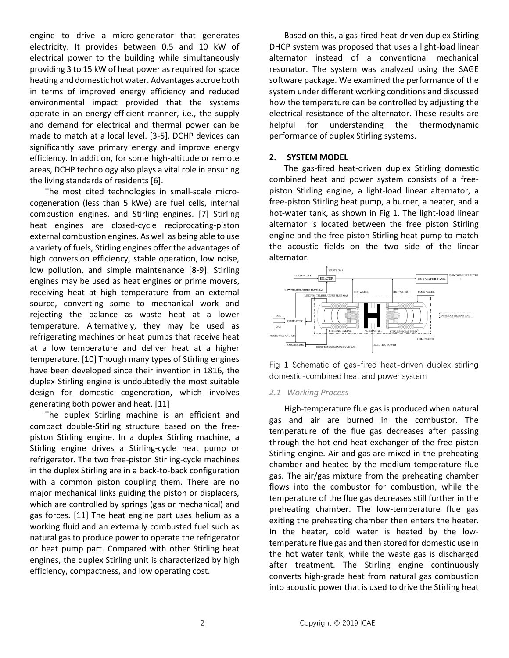engine to drive a micro-generator that generates electricity. It provides between 0.5 and 10 kW of electrical power to the building while simultaneously providing 3 to 15 kW of heat power as required for space heating and domestic hot water. Advantages accrue both in terms of improved energy efficiency and reduced environmental impact provided that the systems operate in an energy-efficient manner, i.e., the supply and demand for electrical and thermal power can be made to match at a local level. [3-5]. DCHP devices can significantly save primary energy and improve energy efficiency. In addition, for some high-altitude or remote areas, DCHP technology also plays a vital role in ensuring the living standards of residents [6].

The most cited technologies in small-scale microcogeneration (less than 5 kWe) are fuel cells, internal combustion engines, and Stirling engines. [7] Stirling heat engines are closed-cycle reciprocating-piston external combustion engines. As well as being able to use a variety of fuels, Stirling engines offer the advantages of high conversion efficiency, stable operation, low noise, low pollution, and simple maintenance [8-9]. Stirling engines may be used as heat engines or prime movers, receiving heat at high temperature from an external source, converting some to mechanical work and rejecting the balance as waste heat at a lower temperature. Alternatively, they may be used as refrigerating machines or heat pumps that receive heat at a low temperature and deliver heat at a higher temperature. [10] Though many types of Stirling engines have been developed since their invention in 1816, the duplex Stirling engine is undoubtedly the most suitable design for domestic cogeneration, which involves generating both power and heat. [11]

The duplex Stirling machine is an efficient and compact double-Stirling structure based on the freepiston Stirling engine. In a duplex Stirling machine, a Stirling engine drives a Stirling-cycle heat pump or refrigerator. The two free-piston Stirling-cycle machines in the duplex Stirling are in a back-to-back configuration with a common piston coupling them. There are no major mechanical links guiding the piston or displacers, which are controlled by springs (gas or mechanical) and gas forces. [11] The heat engine part uses helium as a working fluid and an externally combusted fuel such as natural gas to produce power to operate the refrigerator or heat pump part. Compared with other Stirling heat engines, the duplex Stirling unit is characterized by high efficiency, compactness, and low operating cost.

Based on this, a gas-fired heat-driven duplex Stirling DHCP system was proposed that uses a light-load linear alternator instead of a conventional mechanical resonator. The system was analyzed using the SAGE software package. We examined the performance of the system under different working conditions and discussed how the temperature can be controlled by adjusting the electrical resistance of the alternator. These results are helpful for understanding the thermodynamic performance of duplex Stirling systems.

#### **2. SYSTEM MODEL**

The gas-fired heat-driven duplex Stirling domestic combined heat and power system consists of a freepiston Stirling engine, a light-load linear alternator, a free-piston Stirling heat pump, a burner, a heater, and a hot-water tank, as shown in Fig 1. The light-load linear alternator is located between the free piston Stirling engine and the free piston Stirling heat pump to match the acoustic fields on the two side of the linear alternator.



Fig 1 Schematic of gas-fired heat-driven duplex stirling domestic-combined heat and power system

#### *2.1 Working Process*

High-temperature flue gas is produced when natural gas and air are burned in the combustor. The temperature of the flue gas decreases after passing through the hot-end heat exchanger of the free piston Stirling engine. Air and gas are mixed in the preheating chamber and heated by the medium-temperature flue gas. The air/gas mixture from the preheating chamber flows into the combustor for combustion, while the temperature of the flue gas decreases still further in the preheating chamber. The low-temperature flue gas exiting the preheating chamber then enters the heater. In the heater, cold water is heated by the lowtemperature flue gas and then stored for domestic use in the hot water tank, while the waste gas is discharged after treatment. The Stirling engine continuously converts high-grade heat from natural gas combustion into acoustic power that is used to drive the Stirling heat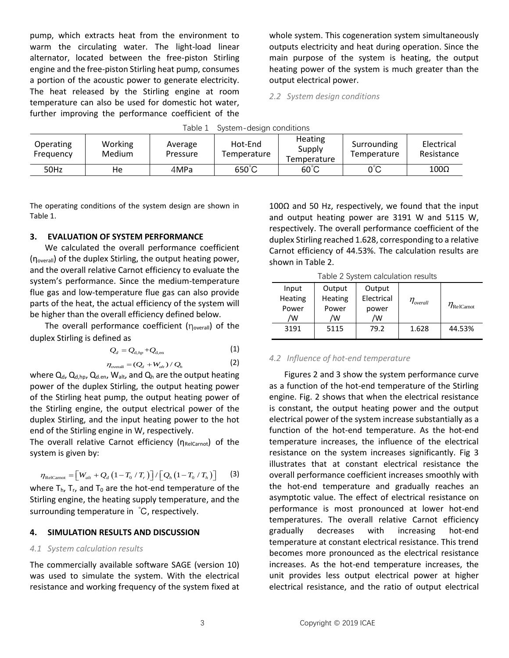pump, which extracts heat from the environment to warm the circulating water. The light-load linear alternator, located between the free-piston Stirling engine and the free-piston Stirling heat pump, consumes a portion of the acoustic power to generate electricity. The heat released by the Stirling engine at room temperature can also be used for domestic hot water, further improving the performance coefficient of the whole system. This cogeneration system simultaneously outputs electricity and heat during operation. Since the main purpose of the system is heating, the output heating power of the system is much greater than the output electrical power.

*2.2 System design conditions* 

| Table 1<br>System-design conditions |                   |                     |                        |                                  |                            |                          |  |  |
|-------------------------------------|-------------------|---------------------|------------------------|----------------------------------|----------------------------|--------------------------|--|--|
| <b>Operating</b><br>Frequency       | Working<br>Medium | Average<br>Pressure | Hot-End<br>Temperature | Heating<br>Supply<br>Temperature | Surrounding<br>Temperature | Electrical<br>Resistance |  |  |
| 50Hz                                | He                | 4MPa                | $650^{\circ}$ C        | $60^{\circ}$ C                   | 0°C                        | $100\Omega$              |  |  |

The operating conditions of the system design are shown in Table 1.

#### **3. EVALUATION OF SYSTEM PERFORMANCE**

We calculated the overall performance coefficient (ηoverall) of the duplex Stirling, the output heating power, and the overall relative Carnot efficiency to evaluate the system's performance. Since the medium-temperature flue gas and low-temperature flue gas can also provide parts of the heat, the actual efficiency of the system will be higher than the overall efficiency defined below.

The overall performance coefficient  $(n_{\text{overall}})$  of the duplex Stirling is defined as

$$
Q_d = Q_{\rm d,hp} + Q_{\rm d,en} \tag{1}
$$

$$
\eta_{\text{overall}} = (Q_d + W_{alt}) / Q_h \tag{2}
$$

where  $Q_d$ ,  $Q_{d,hp}$ ,  $Q_{d,en}$ ,  $W_{alt}$ , and  $Q_h$  are the output heating power of the duplex Stirling, the output heating power of the Stirling heat pump, the output heating power of the Stirling engine, the output electrical power of the duplex Stirling, and the input heating power to the hot end of the Stirling engine in W, respectively.

The overall relative Carnot efficiency (ηRelCarnot) of the system is given by:

$$
\eta_{\text{RelCarnot}} = \left[W_{\text{alt}} + Q_d \left(1 - T_0 / T_r\right)\right] / \left[Q_h \left(1 - T_0 / T_h\right)\right] \tag{3}
$$

where  $T_h$ ,  $T_f$ , and  $T_0$  are the hot-end temperature of the Stirling engine, the heating supply temperature, and the surrounding temperature in ℃, respectively.

#### **4. SIMULATION RESULTS AND DISCUSSION**

## *4.1 System calculation results*

The commercially available software SAGE (version 10) was used to simulate the system. With the electrical resistance and working frequency of the system fixed at 100Ω and 50 Hz, respectively, we found that the input and output heating power are 3191 W and 5115 W, respectively. The overall performance coefficient of the duplex Stirling reached 1.628, corresponding to a relative Carnot efficiency of 44.53%. The calculation results are shown in Table 2.

Table 2 System calculation results

| Input<br>Heating | Output<br>Heating | Output<br>Electrical | $\eta_{\scriptscriptstyle overall}$ | $\eta_{\text{RelCarnot}}$ |
|------------------|-------------------|----------------------|-------------------------------------|---------------------------|
| Power<br>/w      | Power<br>/W       | power<br>'W          |                                     |                           |
| 3191             | 5115              | 79.2                 | 1.628                               | 44.53%                    |

#### *4.2 Influence of hot-end temperature*

Figures 2 and 3 show the system performance curve as a function of the hot-end temperature of the Stirling engine. Fig. 2 shows that when the electrical resistance is constant, the output heating power and the output electrical power of the system increase substantially as a function of the hot-end temperature. As the hot-end temperature increases, the influence of the electrical resistance on the system increases significantly. Fig 3 illustrates that at constant electrical resistance the overall performance coefficient increases smoothly with the hot-end temperature and gradually reaches an asymptotic value. The effect of electrical resistance on performance is most pronounced at lower hot-end temperatures. The overall relative Carnot efficiency gradually decreases with increasing hot-end temperature at constant electrical resistance. This trend becomes more pronounced as the electrical resistance increases. As the hot-end temperature increases, the unit provides less output electrical power at higher electrical resistance, and the ratio of output electrical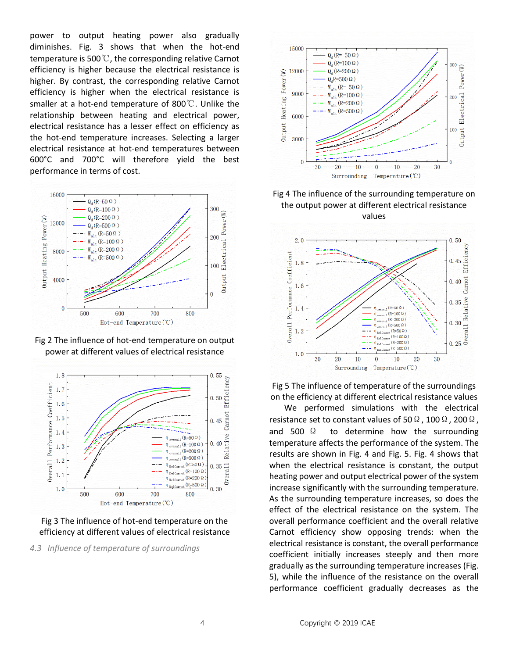power to output heating power also gradually diminishes. Fig. 3 shows that when the hot-end temperature is 500℃, the corresponding relative Carnot efficiency is higher because the electrical resistance is higher. By contrast, the corresponding relative Carnot efficiency is higher when the electrical resistance is smaller at a hot-end temperature of 800℃. Unlike the relationship between heating and electrical power, electrical resistance has a lesser effect on efficiency as the hot-end temperature increases. Selecting a larger electrical resistance at hot-end temperatures between 600°C and 700°C will therefore yield the best performance in terms of cost.



Fig 2 The influence of hot-end temperature on output power at different values of electrical resistance



Fig 3 The influence of hot-end temperature on the efficiency at different values of electrical resistance

*4.3 Influence of temperature of surroundings*



Fig 4 The influence of the surrounding temperature on the output power at different electrical resistance values



Fig 5 The influence of temperature of the surroundings on the efficiency at different electrical resistance values

We performed simulations with the electrical resistance set to constant values of 50  $\Omega$ , 100  $\Omega$ , 200  $\Omega$ , and 500  $\Omega$  to determine how the surrounding temperature affects the performance of the system. The results are shown in Fig. 4 and Fig. 5. Fig. 4 shows that when the electrical resistance is constant, the output heating power and output electrical power of the system increase significantly with the surrounding temperature. As the surrounding temperature increases, so does the effect of the electrical resistance on the system. The overall performance coefficient and the overall relative Carnot efficiency show opposing trends: when the electrical resistance is constant, the overall performance coefficient initially increases steeply and then more gradually as the surrounding temperature increases (Fig. 5), while the influence of the resistance on the overall performance coefficient gradually decreases as the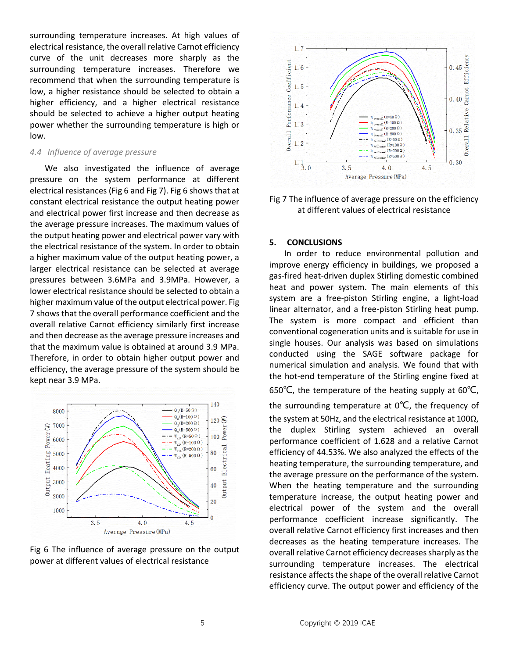surrounding temperature increases. At high values of electrical resistance, the overall relative Carnot efficiency curve of the unit decreases more sharply as the surrounding temperature increases. Therefore we recommend that when the surrounding temperature is low, a higher resistance should be selected to obtain a higher efficiency, and a higher electrical resistance should be selected to achieve a higher output heating power [whether](javascript:;) the surrounding temperature is high or low.

#### *4.4 Influence of average pressure*

We also investigated the influence of average pressure on the system performance at different electrical resistances (Fig 6 and Fig 7). Fig 6 shows that at constant electrical resistance the output heating power and electrical power first increase and then decrease as the average pressure increases. The maximum values of the output heating power and electrical power vary with the electrical resistance of the system. In order to obtain a higher maximum value of the output heating power, a larger electrical resistance can be selected at average pressures between 3.6MPa and 3.9MPa. However, a lower electrical resistance should be selected to obtain a higher maximum value of the output electrical power. Fig 7 shows that the overall performance coefficient and the overall relative Carnot efficiency similarly first increase and then decrease as the average pressure increases and that the maximum value is obtained at around 3.9 MPa. Therefore, in order to obtain higher output power and efficiency, the average pressure of the system should be kept near 3.9 MPa.







Fig 7 The influence of average pressure on the efficiency at different values of electrical resistance

# **5. CONCLUSIONS**

In order to reduce environmental pollution and improve energy efficiency in buildings, we proposed a gas-fired heat-driven duplex Stirling domestic combined heat and power system. The main elements of this system are a free-piston Stirling engine, a light-load linear alternator, and a free-piston Stirling heat pump. The system is more compact and efficient than conventional cogeneration units and is suitable for use in single houses. Our analysis was based on simulations conducted using the SAGE software package for numerical simulation and analysis. We found that with the hot-end temperature of the Stirling engine fixed at 650℃, the temperature of the heating supply at 60℃,

the surrounding temperature at  $0^{\circ}C$ , the frequency of the system at 50Hz, and the electrical resistance at 100Ω, the duplex Stirling system achieved an overall performance coefficient of 1.628 and a relative Carnot efficiency of 44.53%. We also analyzed the effects of the heating temperature, the surrounding temperature, and the average pressure on the performance of the system. When the heating temperature and the surrounding temperature increase, the output heating power and electrical power of the system and the overall performance coefficient increase significantly. The overall relative Carnot efficiency first increases and then decreases as the heating temperature increases. The overall relative Carnot efficiency decreases sharply as the surrounding temperature increases. The electrical resistance affects the shape of the overall relative Carnot efficiency curve. The output power and efficiency of the